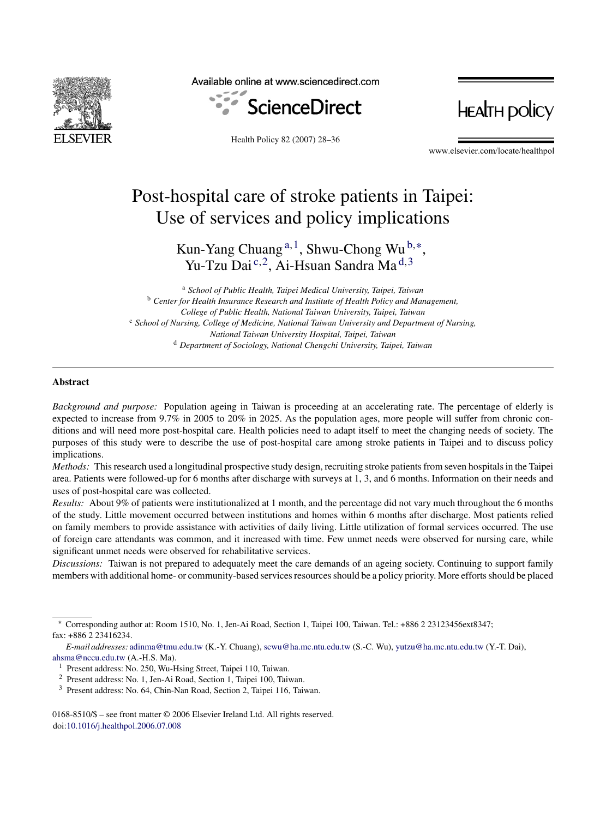

Available online at www.sciencedirect.com



Health Policy 82 (2007) 28–36



www.elsevier.com/locate/healthpol

# Post-hospital care of stroke patients in Taipei: Use of services and policy implications

## Kun-Yang Chuang  $a,1$ , Shwu-Chong Wu  $b.*$ , Yu-Tzu Dai<sup>c, 2</sup>, Ai-Hsuan Sandra Ma<sup>d, 3</sup>

<sup>a</sup> *School of Public Health, Taipei Medical University, Taipei, Taiwan* <sup>b</sup> *Center for Health Insurance Research and Institute of Health Policy and Management, College of Public Health, National Taiwan University, Taipei, Taiwan* <sup>c</sup> *School of Nursing, College of Medicine, National Taiwan University and Department of Nursing, National Taiwan University Hospital, Taipei, Taiwan* <sup>d</sup> *Department of Sociology, National Chengchi University, Taipei, Taiwan*

#### **Abstract**

*Background and purpose:* Population ageing in Taiwan is proceeding at an accelerating rate. The percentage of elderly is expected to increase from 9.7% in 2005 to 20% in 2025. As the population ages, more people will suffer from chronic conditions and will need more post-hospital care. Health policies need to adapt itself to meet the changing needs of society. The purposes of this study were to describe the use of post-hospital care among stroke patients in Taipei and to discuss policy implications.

*Methods:* This research used a longitudinal prospective study design, recruiting stroke patients from seven hospitals in the Taipei area. Patients were followed-up for 6 months after discharge with surveys at 1, 3, and 6 months. Information on their needs and uses of post-hospital care was collected.

*Results:* About 9% of patients were institutionalized at 1 month, and the percentage did not vary much throughout the 6 months of the study. Little movement occurred between institutions and homes within 6 months after discharge. Most patients relied on family members to provide assistance with activities of daily living. Little utilization of formal services occurred. The use of foreign care attendants was common, and it increased with time. Few unmet needs were observed for nursing care, while significant unmet needs were observed for rehabilitative services.

*Discussions:* Taiwan is not prepared to adequately meet the care demands of an ageing society. Continuing to support family members with additional home- or community-based services resources should be a policy priority. More efforts should be placed

0168-8510/\$ – see front matter © 2006 Elsevier Ireland Ltd. All rights reserved. doi[:10.1016/j.healthpol.2006.07.008](dx.doi.org/10.1016/j.healthpol.2006.07.008)

<sup>∗</sup> Corresponding author at: Room 1510, No. 1, Jen-Ai Road, Section 1, Taipei 100, Taiwan. Tel.: +886 2 23123456ext8347; fax: +886 2 23416234.

*E-mail addresses:* [adinma@tmu.edu.tw](mailto:adinma@tmu.edu.tw) (K.-Y. Chuang), [scwu@ha.mc.ntu.edu.tw](mailto:scwu@ha.mc.ntu.edu.tw) (S.-C. Wu), [yutzu@ha.mc.ntu.edu.tw](mailto:yutzu@ha.mc.ntu.edu.tw) (Y.-T. Dai), [ahsma@nccu.edu.tw](mailto:ahsma@nccu.edu.tw) (A.-H.S. Ma).

<sup>1</sup> Present address: No. 250, Wu-Hsing Street, Taipei 110, Taiwan.

<sup>2</sup> Present address: No. 1, Jen-Ai Road, Section 1, Taipei 100, Taiwan.

<sup>3</sup> Present address: No. 64, Chin-Nan Road, Section 2, Taipei 116, Taiwan.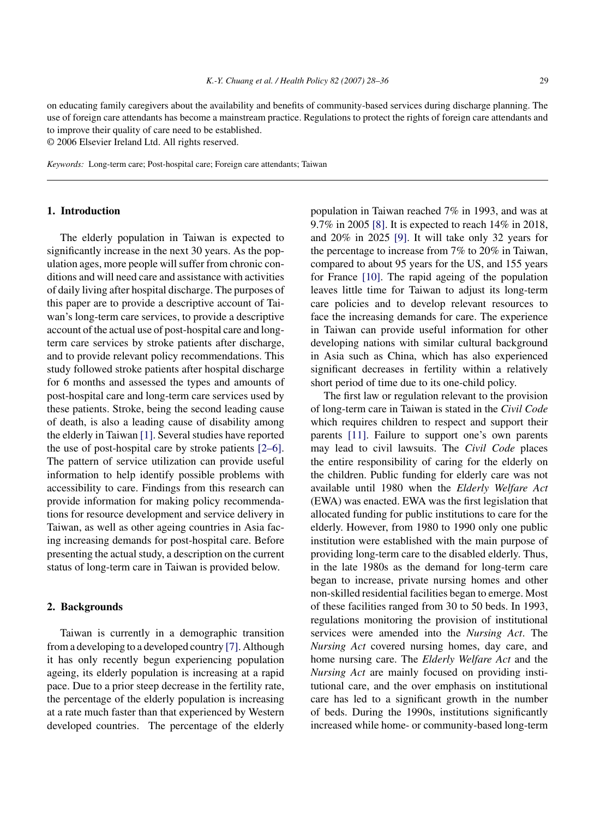on educating family caregivers about the availability and benefits of community-based services during discharge planning. The use of foreign care attendants has become a mainstream practice. Regulations to protect the rights of foreign care attendants and to improve their quality of care need to be established.

© 2006 Elsevier Ireland Ltd. All rights reserved.

*Keywords:* Long-term care; Post-hospital care; Foreign care attendants; Taiwan

#### **1. Introduction**

The elderly population in Taiwan is expected to significantly increase in the next 30 years. As the population ages, more people will suffer from chronic conditions and will need care and assistance with activities of daily living after hospital discharge. The purposes of this paper are to provide a descriptive account of Taiwan's long-term care services, to provide a descriptive account of the actual use of post-hospital care and longterm care services by stroke patients after discharge, and to provide relevant policy recommendations. This study followed stroke patients after hospital discharge for 6 months and assessed the types and amounts of post-hospital care and long-term care services used by these patients. Stroke, being the second leading cause of death, is also a leading cause of disability among the elderly in Taiwan [\[1\]. S](#page-8-0)everal studies have reported the use of post-hospital care by stroke patients [\[2–6\].](#page-8-0) The pattern of service utilization can provide useful information to help identify possible problems with accessibility to care. Findings from this research can provide information for making policy recommendations for resource development and service delivery in Taiwan, as well as other ageing countries in Asia facing increasing demands for post-hospital care. Before presenting the actual study, a description on the current status of long-term care in Taiwan is provided below.

#### **2. Backgrounds**

Taiwan is currently in a demographic transition from a developing to a developed country [\[7\]. A](#page-8-0)lthough it has only recently begun experiencing population ageing, its elderly population is increasing at a rapid pace. Due to a prior steep decrease in the fertility rate, the percentage of the elderly population is increasing at a rate much faster than that experienced by Western developed countries. The percentage of the elderly

population in Taiwan reached 7% in 1993, and was at 9.7% in 2005 [\[8\].](#page-8-0) It is expected to reach 14% in 2018, and 20% in 2025 [\[9\].](#page-8-0) It will take only 32 years for the percentage to increase from 7% to 20% in Taiwan, compared to about 95 years for the US, and 155 years for France [\[10\].](#page-8-0) The rapid ageing of the population leaves little time for Taiwan to adjust its long-term care policies and to develop relevant resources to face the increasing demands for care. The experience in Taiwan can provide useful information for other developing nations with similar cultural background in Asia such as China, which has also experienced significant decreases in fertility within a relatively short period of time due to its one-child policy.

The first law or regulation relevant to the provision of long-term care in Taiwan is stated in the *Civil Code* which requires children to respect and support their parents [\[11\].](#page-8-0) Failure to support one's own parents may lead to civil lawsuits. The *Civil Code* places the entire responsibility of caring for the elderly on the children. Public funding for elderly care was not available until 1980 when the *Elderly Welfare Act* (EWA) was enacted. EWA was the first legislation that allocated funding for public institutions to care for the elderly. However, from 1980 to 1990 only one public institution were established with the main purpose of providing long-term care to the disabled elderly. Thus, in the late 1980s as the demand for long-term care began to increase, private nursing homes and other non-skilled residential facilities began to emerge. Most of these facilities ranged from 30 to 50 beds. In 1993, regulations monitoring the provision of institutional services were amended into the *Nursing Act*. The *Nursing Act* covered nursing homes, day care, and home nursing care. The *Elderly Welfare Act* and the *Nursing Act* are mainly focused on providing institutional care, and the over emphasis on institutional care has led to a significant growth in the number of beds. During the 1990s, institutions significantly increased while home- or community-based long-term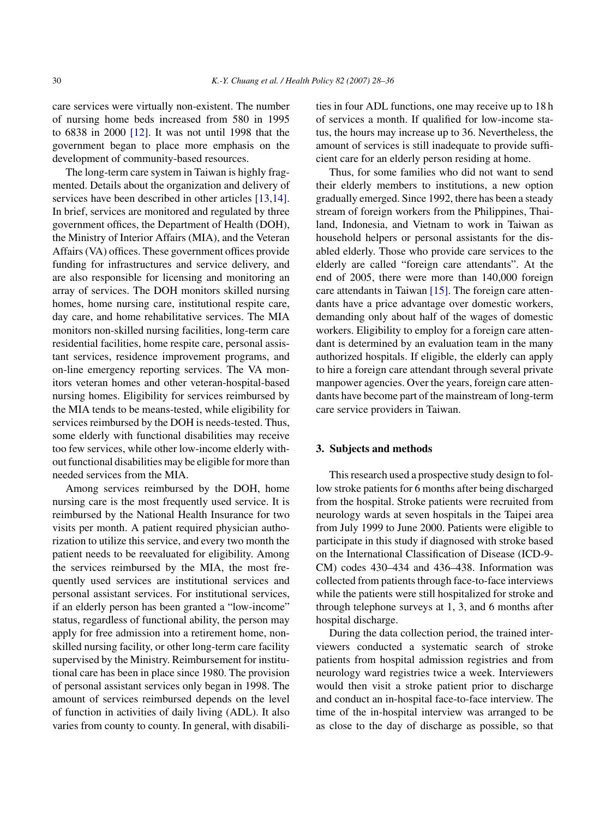care services were virtually non-existent. The number of nursing home beds increased from 580 in 1995 to 6838 in 2000 [\[12\].](#page-8-0) It was not until 1998 that the government began to place more emphasis on the development of community-based resources.

The long-term care system in Taiwan is highly fragmented. Details about the organization and delivery of services have been described in other articles [\[13,14\].](#page-8-0) In brief, services are monitored and regulated by three government offices, the Department of Health (DOH), the Ministry of Interior Affairs (MIA), and the Veteran Affairs (VA) offices. These government offices provide funding for infrastructures and service delivery, and are also responsible for licensing and monitoring an array of services. The DOH monitors skilled nursing homes, home nursing care, institutional respite care, day care, and home rehabilitative services. The MIA monitors non-skilled nursing facilities, long-term care residential facilities, home respite care, personal assistant services, residence improvement programs, and on-line emergency reporting services. The VA monitors veteran homes and other veteran-hospital-based nursing homes. Eligibility for services reimbursed by the MIA tends to be means-tested, while eligibility for services reimbursed by the DOH is needs-tested. Thus, some elderly with functional disabilities may receive too few services, while other low-income elderly without functional disabilities may be eligible for more than needed services from the MIA.

Among services reimbursed by the DOH, home nursing care is the most frequently used service. It is reimbursed by the National Health Insurance for two visits per month. A patient required physician authorization to utilize this service, and every two month the patient needs to be reevaluated for eligibility. Among the services reimbursed by the MIA, the most frequently used services are institutional services and personal assistant services. For institutional services, if an elderly person has been granted a "low-income" status, regardless of functional ability, the person may apply for free admission into a retirement home, nonskilled nursing facility, or other long-term care facility supervised by the Ministry. Reimbursement for institutional care has been in place since 1980. The provision of personal assistant services only began in 1998. The amount of services reimbursed depends on the level of function in activities of daily living (ADL). It also varies from county to county. In general, with disabilities in four ADL functions, one may receive up to 18 h of services a month. If qualified for low-income status, the hours may increase up to 36. Nevertheless, the amount of services is still inadequate to provide sufficient care for an elderly person residing at home.

Thus, for some families who did not want to send their elderly members to institutions, a new option gradually emerged. Since 1992, there has been a steady stream of foreign workers from the Philippines, Thailand, Indonesia, and Vietnam to work in Taiwan as household helpers or personal assistants for the disabled elderly. Those who provide care services to the elderly are called "foreign care attendants". At the end of 2005, there were more than 140,000 foreign care attendants in Taiwan [\[15\].](#page-8-0) The foreign care attendants have a price advantage over domestic workers, demanding only about half of the wages of domestic workers. Eligibility to employ for a foreign care attendant is determined by an evaluation team in the many authorized hospitals. If eligible, the elderly can apply to hire a foreign care attendant through several private manpower agencies. Over the years, foreign care attendants have become part of the mainstream of long-term care service providers in Taiwan.

#### **3. Subjects and methods**

This research used a prospective study design to follow stroke patients for 6 months after being discharged from the hospital. Stroke patients were recruited from neurology wards at seven hospitals in the Taipei area from July 1999 to June 2000. Patients were eligible to participate in this study if diagnosed with stroke based on the International Classification of Disease (ICD-9- CM) codes 430–434 and 436–438. Information was collected from patients through face-to-face interviews while the patients were still hospitalized for stroke and through telephone surveys at 1, 3, and 6 months after hospital discharge.

During the data collection period, the trained interviewers conducted a systematic search of stroke patients from hospital admission registries and from neurology ward registries twice a week. Interviewers would then visit a stroke patient prior to discharge and conduct an in-hospital face-to-face interview. The time of the in-hospital interview was arranged to be as close to the day of discharge as possible, so that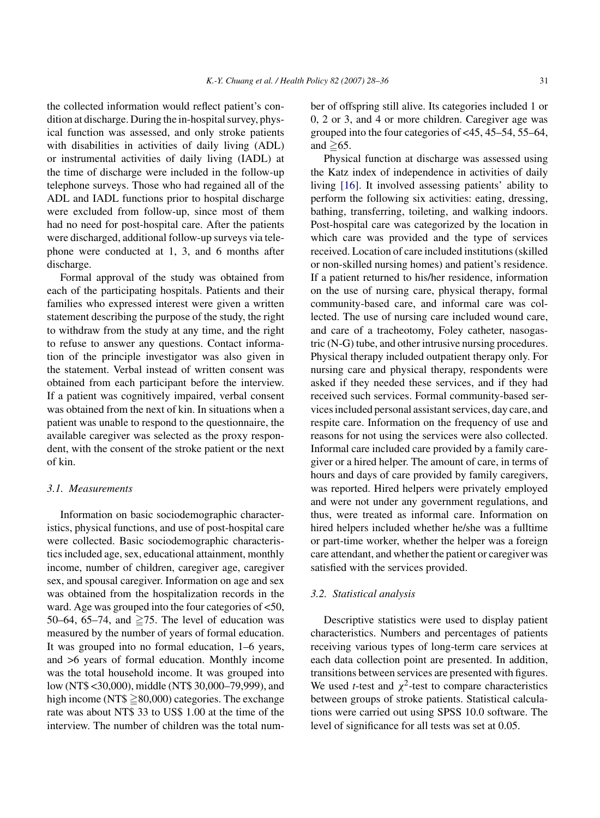the collected information would reflect patient's condition at discharge. During the in-hospital survey, physical function was assessed, and only stroke patients with disabilities in activities of daily living (ADL) or instrumental activities of daily living (IADL) at the time of discharge were included in the follow-up telephone surveys. Those who had regained all of the ADL and IADL functions prior to hospital discharge were excluded from follow-up, since most of them had no need for post-hospital care. After the patients were discharged, additional follow-up surveys via telephone were conducted at 1, 3, and 6 months after discharge.

Formal approval of the study was obtained from each of the participating hospitals. Patients and their families who expressed interest were given a written statement describing the purpose of the study, the right to withdraw from the study at any time, and the right to refuse to answer any questions. Contact information of the principle investigator was also given in the statement. Verbal instead of written consent was obtained from each participant before the interview. If a patient was cognitively impaired, verbal consent was obtained from the next of kin. In situations when a patient was unable to respond to the questionnaire, the available caregiver was selected as the proxy respondent, with the consent of the stroke patient or the next of kin.

#### *3.1. Measurements*

Information on basic sociodemographic characteristics, physical functions, and use of post-hospital care were collected. Basic sociodemographic characteristics included age, sex, educational attainment, monthly income, number of children, caregiver age, caregiver sex, and spousal caregiver. Information on age and sex was obtained from the hospitalization records in the ward. Age was grouped into the four categories of <50, 50–64, 65–74, and  $\geq$ 75. The level of education was measured by the number of years of formal education. It was grouped into no formal education, 1–6 years, and >6 years of formal education. Monthly income was the total household income. It was grouped into low (NT\$ <30,000), middle (NT\$ 30,000–79,999), and high income (NT\$  $\geq$ 80,000) categories. The exchange rate was about NT\$ 33 to US\$ 1.00 at the time of the interview. The number of children was the total number of offspring still alive. Its categories included 1 or 0, 2 or 3, and 4 or more children. Caregiver age was grouped into the four categories of <45, 45–54, 55–64, and  $\geq 65$ .

Physical function at discharge was assessed using the Katz index of independence in activities of daily living [\[16\].](#page-8-0) It involved assessing patients' ability to perform the following six activities: eating, dressing, bathing, transferring, toileting, and walking indoors. Post-hospital care was categorized by the location in which care was provided and the type of services received. Location of care included institutions (skilled or non-skilled nursing homes) and patient's residence. If a patient returned to his/her residence, information on the use of nursing care, physical therapy, formal community-based care, and informal care was collected. The use of nursing care included wound care, and care of a tracheotomy, Foley catheter, nasogastric (N-G) tube, and other intrusive nursing procedures. Physical therapy included outpatient therapy only. For nursing care and physical therapy, respondents were asked if they needed these services, and if they had received such services. Formal community-based services included personal assistant services, day care, and respite care. Information on the frequency of use and reasons for not using the services were also collected. Informal care included care provided by a family caregiver or a hired helper. The amount of care, in terms of hours and days of care provided by family caregivers, was reported. Hired helpers were privately employed and were not under any government regulations, and thus, were treated as informal care. Information on hired helpers included whether he/she was a fulltime or part-time worker, whether the helper was a foreign care attendant, and whether the patient or caregiver was satisfied with the services provided.

#### *3.2. Statistical analysis*

Descriptive statistics were used to display patient characteristics. Numbers and percentages of patients receiving various types of long-term care services at each data collection point are presented. In addition, transitions between services are presented with figures. We used *t*-test and  $\chi^2$ -test to compare characteristics between groups of stroke patients. Statistical calculations were carried out using SPSS 10.0 software. The level of significance for all tests was set at 0.05.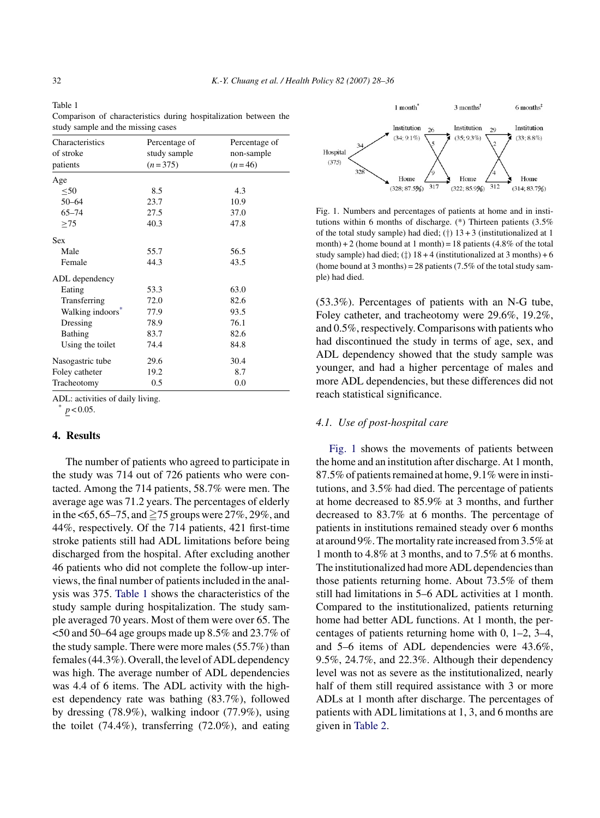| Table 1                                                          |  |
|------------------------------------------------------------------|--|
| Comparison of characteristics during hospitalization between the |  |
| study sample and the missing cases                               |  |

| Characteristics  | Percentage of | Percentage of |  |  |  |
|------------------|---------------|---------------|--|--|--|
| of stroke        | study sample  | non-sample    |  |  |  |
| patients         | $(n=375)$     | $(n=46)$      |  |  |  |
| Age              |               |               |  |  |  |
| $\leq 50$        | 8.5           | 4.3           |  |  |  |
| $50 - 64$        | 23.7          | 10.9          |  |  |  |
| $65 - 74$        | 27.5          | 37.0          |  |  |  |
| >75              | 40.3          | 47.8          |  |  |  |
| <b>Sex</b>       |               |               |  |  |  |
| Male             | 55.7          | 56.5          |  |  |  |
| Female           | 44.3          | 43.5          |  |  |  |
| ADL dependency   |               |               |  |  |  |
| Eating           | 53.3          | 63.0          |  |  |  |
| Transferring     | 72.0          | 82.6          |  |  |  |
| Walking indoors* | 77.9          | 93.5          |  |  |  |
| Dressing         | 78.9          | 76.1          |  |  |  |
| Bathing          | 83.7          | 82.6          |  |  |  |
| Using the toilet | 74.4          | 84.8          |  |  |  |
| Nasogastric tube | 29.6          | 30.4          |  |  |  |
| Foley catheter   | 19.2          | 8.7           |  |  |  |
| Tracheotomy      | 0.5           | 0.0           |  |  |  |

ADL: activities of daily living.

### $p < 0.05$ .

#### **4. Results**

The number of patients who agreed to participate in the study was 714 out of 726 patients who were contacted. Among the 714 patients, 58.7% were men. The average age was 71.2 years. The percentages of elderly in the <65, 65–75, and  $\geq$ 75 groups were 27%, 29%, and 44%, respectively. Of the 714 patients, 421 first-time stroke patients still had ADL limitations before being discharged from the hospital. After excluding another 46 patients who did not complete the follow-up interviews, the final number of patients included in the analysis was 375. Table 1 shows the characteristics of the study sample during hospitalization. The study sample averaged 70 years. Most of them were over 65. The <50 and 50–64 age groups made up 8.5% and 23.7% of the study sample. There were more males (55.7%) than females (44.3%). Overall, the level of ADL dependency was high. The average number of ADL dependencies was 4.4 of 6 items. The ADL activity with the highest dependency rate was bathing (83.7%), followed by dressing (78.9%), walking indoor (77.9%), using the toilet (74.4%), transferring (72.0%), and eating



Fig. 1. Numbers and percentages of patients at home and in institutions within 6 months of discharge. (\*) Thirteen patients (3.5% of the total study sample) had died; (†)  $13 + 3$  (institutionalized at 1 month) + 2 (home bound at 1 month) = 18 patients  $(4.8\% \text{ of the total})$ study sample) had died;  $(\ddagger)$  18 + 4 (institutionalized at 3 months) + 6 (home bound at 3 months) = 28 patients  $(7.5\%$  of the total study sample) had died.

(53.3%). Percentages of patients with an N-G tube, Foley catheter, and tracheotomy were 29.6%, 19.2%, and 0.5%, respectively. Comparisons with patients who had discontinued the study in terms of age, sex, and ADL dependency showed that the study sample was younger, and had a higher percentage of males and more ADL dependencies, but these differences did not reach statistical significance.

#### *4.1. Use of post-hospital care*

Fig. 1 shows the movements of patients between the home and an institution after discharge. At 1 month, 87.5% of patients remained at home, 9.1% were in institutions, and 3.5% had died. The percentage of patients at home decreased to 85.9% at 3 months, and further decreased to 83.7% at 6 months. The percentage of patients in institutions remained steady over 6 months at around 9%. The mortality rate increased from 3.5% at 1 month to 4.8% at 3 months, and to 7.5% at 6 months. The institutionalized had more ADL dependencies than those patients returning home. About 73.5% of them still had limitations in 5–6 ADL activities at 1 month. Compared to the institutionalized, patients returning home had better ADL functions. At 1 month, the percentages of patients returning home with 0, 1–2, 3–4, and 5–6 items of ADL dependencies were 43.6%, 9.5%, 24.7%, and 22.3%. Although their dependency level was not as severe as the institutionalized, nearly half of them still required assistance with 3 or more ADLs at 1 month after discharge. The percentages of patients with ADL limitations at 1, 3, and 6 months are given in [Table 2.](#page-5-0)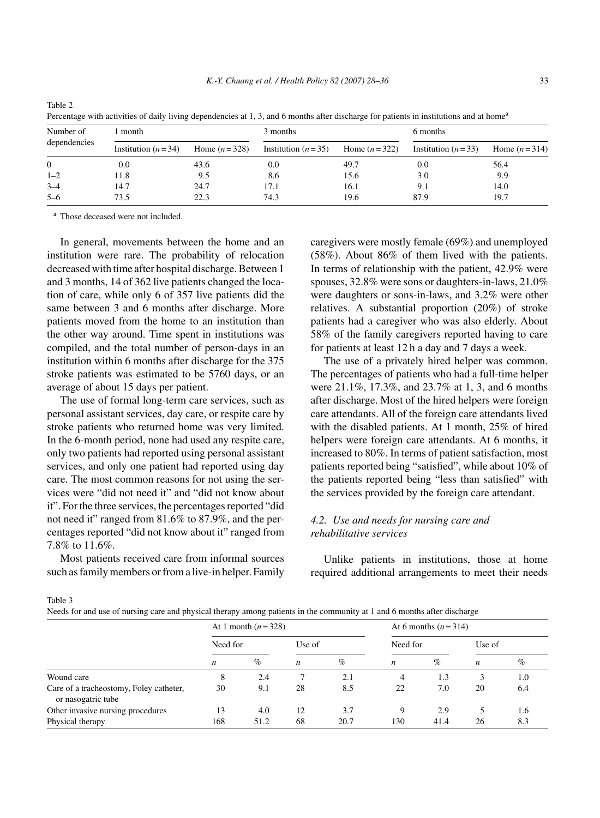| Number of<br>dependencies | month                |                  | 3 months             |                  | 6 months             |                  |  |
|---------------------------|----------------------|------------------|----------------------|------------------|----------------------|------------------|--|
|                           | Institution $(n=34)$ | Home $(n = 328)$ | Institution $(n=35)$ | Home $(n = 322)$ | Institution $(n=33)$ | Home $(n = 314)$ |  |
| $\Omega$                  | 0.0                  | 43.6             | 0.0                  | 49.7             | 0.0                  | 56.4             |  |
| $1 - 2$                   | 11.8                 | 9.5              | 8.6                  | 15.6             | 3.0                  | 9.9              |  |
| $3 - 4$                   | 14.7                 | 24.7             | 17.1                 | 16.1             | 9.1                  | 14.0             |  |
| $5 - 6$                   | 73.5                 | 22.3             | 74.3                 | 19.6             | 87.9                 | 19.7             |  |

<span id="page-5-0"></span>Table 2 Percentage with activities of daily living dependencies at 1, 3, and 6 months after discharge for patients in institutions and at home<sup>a</sup>

<sup>a</sup> Those deceased were not included.

In general, movements between the home and an institution were rare. The probability of relocation decreased with time after hospital discharge. Between 1 and 3 months, 14 of 362 live patients changed the location of care, while only 6 of 357 live patients did the same between 3 and 6 months after discharge. More patients moved from the home to an institution than the other way around. Time spent in institutions was compiled, and the total number of person-days in an institution within 6 months after discharge for the 375 stroke patients was estimated to be 5760 days, or an average of about 15 days per patient.

The use of formal long-term care services, such as personal assistant services, day care, or respite care by stroke patients who returned home was very limited. In the 6-month period, none had used any respite care, only two patients had reported using personal assistant services, and only one patient had reported using day care. The most common reasons for not using the services were "did not need it" and "did not know about it". For the three services, the percentages reported "did not need it" ranged from 81.6% to 87.9%, and the percentages reported "did not know about it" ranged from 7.8% to 11.6%.

Most patients received care from informal sources such as family members or from a live-in helper. Family caregivers were mostly female (69%) and unemployed (58%). About 86% of them lived with the patients. In terms of relationship with the patient, 42.9% were spouses, 32.8% were sons or daughters-in-laws, 21.0% were daughters or sons-in-laws, and 3.2% were other relatives. A substantial proportion (20%) of stroke patients had a caregiver who was also elderly. About 58% of the family caregivers reported having to care for patients at least 12 h a day and 7 days a week.

The use of a privately hired helper was common. The percentages of patients who had a full-time helper were 21.1%, 17.3%, and 23.7% at 1, 3, and 6 months after discharge. Most of the hired helpers were foreign care attendants. All of the foreign care attendants lived with the disabled patients. At 1 month, 25% of hired helpers were foreign care attendants. At 6 months, it increased to 80%. In terms of patient satisfaction, most patients reported being "satisfied", while about 10% of the patients reported being "less than satisfied" with the services provided by the foreign care attendant.

#### *4.2. Use and needs for nursing care and rehabilitative services*

Unlike patients in institutions, those at home required additional arrangements to meet their needs

Table 3

| Needs for and use of nursing care and physical therapy among patients in the community at 1 and 6 months after discharge |  |
|--------------------------------------------------------------------------------------------------------------------------|--|
|--------------------------------------------------------------------------------------------------------------------------|--|

|                                                               | At 1 month $(n=328)$ |      |                  |      | At 6 months $(n=314)$ |      |                  |      |
|---------------------------------------------------------------|----------------------|------|------------------|------|-----------------------|------|------------------|------|
|                                                               | Need for             |      | Use of           |      | Need for              |      | Use of           |      |
|                                                               | n                    | $\%$ | $\boldsymbol{n}$ | $\%$ | $\boldsymbol{n}$      | $\%$ | $\boldsymbol{n}$ | $\%$ |
| Wound care                                                    | 8                    | 2.4  |                  | 2.1  | 4                     | 1.3  |                  | 1.0  |
| Care of a tracheostomy, Foley catheter,<br>or nasogatric tube | 30                   | 9.1  | 28               | 8.5  | 22                    | 7.0  | 20               | 6.4  |
| Other invasive nursing procedures                             | 13                   | 4.0  | 12               | 3.7  | 9                     | 2.9  |                  | 1.6  |
| Physical therapy                                              | 168                  | 51.2 | 68               | 20.7 | 130                   | 41.4 | 26               | 8.3  |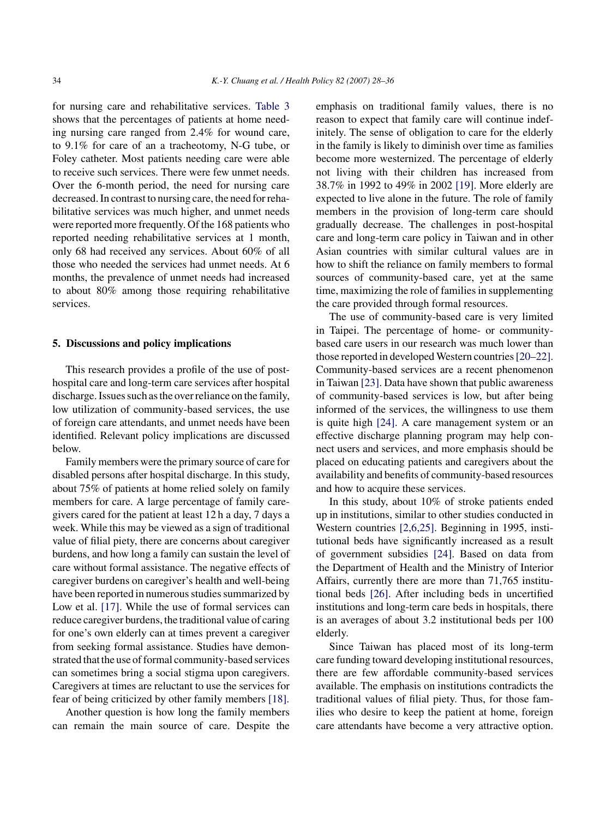for nursing care and rehabilitative services. [Table 3](#page-5-0) shows that the percentages of patients at home needing nursing care ranged from 2.4% for wound care, to 9.1% for care of an a tracheotomy, N-G tube, or Foley catheter. Most patients needing care were able to receive such services. There were few unmet needs. Over the 6-month period, the need for nursing care decreased. In contrast to nursing care, the need for rehabilitative services was much higher, and unmet needs were reported more frequently. Of the 168 patients who reported needing rehabilitative services at 1 month, only 68 had received any services. About 60% of all those who needed the services had unmet needs. At 6 months, the prevalence of unmet needs had increased to about 80% among those requiring rehabilitative services.

#### **5. Discussions and policy implications**

This research provides a profile of the use of posthospital care and long-term care services after hospital discharge. Issues such as the over reliance on the family, low utilization of community-based services, the use of foreign care attendants, and unmet needs have been identified. Relevant policy implications are discussed below.

Family members were the primary source of care for disabled persons after hospital discharge. In this study, about 75% of patients at home relied solely on family members for care. A large percentage of family caregivers cared for the patient at least 12 h a day, 7 days a week. While this may be viewed as a sign of traditional value of filial piety, there are concerns about caregiver burdens, and how long a family can sustain the level of care without formal assistance. The negative effects of caregiver burdens on caregiver's health and well-being have been reported in numerous studies summarized by Low et al. [\[17\].](#page-8-0) While the use of formal services can reduce caregiver burdens, the traditional value of caring for one's own elderly can at times prevent a caregiver from seeking formal assistance. Studies have demonstrated that the use of formal community-based services can sometimes bring a social stigma upon caregivers. Caregivers at times are reluctant to use the services for fear of being criticized by other family members [\[18\].](#page-8-0)

Another question is how long the family members can remain the main source of care. Despite the emphasis on traditional family values, there is no reason to expect that family care will continue indefinitely. The sense of obligation to care for the elderly in the family is likely to diminish over time as families become more westernized. The percentage of elderly not living with their children has increased from 38.7% in 1992 to 49% in 2002 [\[19\]. M](#page-8-0)ore elderly are expected to live alone in the future. The role of family members in the provision of long-term care should gradually decrease. The challenges in post-hospital care and long-term care policy in Taiwan and in other Asian countries with similar cultural values are in how to shift the reliance on family members to formal sources of community-based care, yet at the same time, maximizing the role of families in supplementing the care provided through formal resources.

The use of community-based care is very limited in Taipei. The percentage of home- or communitybased care users in our research was much lower than those reported in developed Western countries[\[20–22\].](#page-8-0) Community-based services are a recent phenomenon in Taiwan [\[23\]. D](#page-8-0)ata have shown that public awareness of community-based services is low, but after being informed of the services, the willingness to use them is quite high [\[24\].](#page-8-0) A care management system or an effective discharge planning program may help connect users and services, and more emphasis should be placed on educating patients and caregivers about the availability and benefits of community-based resources and how to acquire these services.

In this study, about 10% of stroke patients ended up in institutions, similar to other studies conducted in Western countries [\[2,6,25\].](#page-8-0) Beginning in 1995, institutional beds have significantly increased as a result of government subsidies [\[24\].](#page-8-0) Based on data from the Department of Health and the Ministry of Interior Affairs, currently there are more than 71,765 institutional beds [\[26\].](#page-8-0) After including beds in uncertified institutions and long-term care beds in hospitals, there is an averages of about 3.2 institutional beds per 100 elderly.

Since Taiwan has placed most of its long-term care funding toward developing institutional resources, there are few affordable community-based services available. The emphasis on institutions contradicts the traditional values of filial piety. Thus, for those families who desire to keep the patient at home, foreign care attendants have become a very attractive option.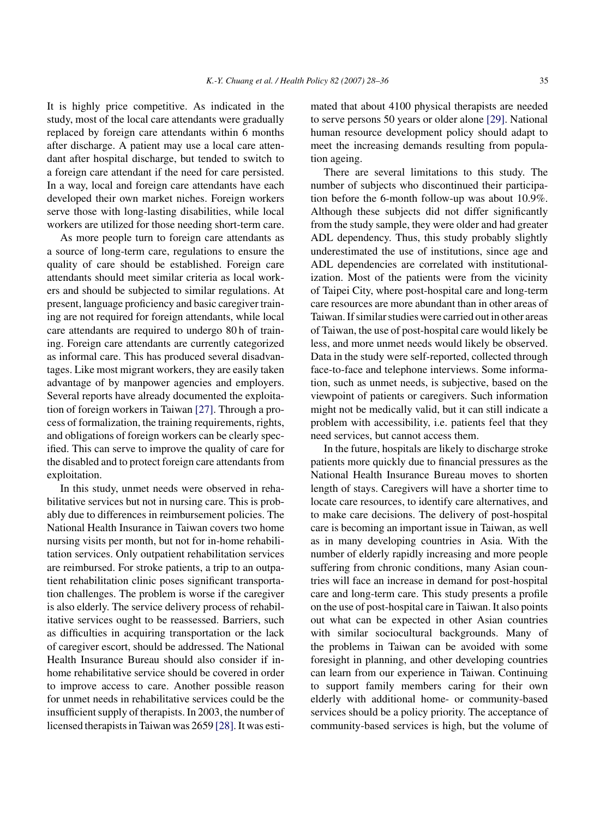It is highly price competitive. As indicated in the study, most of the local care attendants were gradually replaced by foreign care attendants within 6 months after discharge. A patient may use a local care attendant after hospital discharge, but tended to switch to a foreign care attendant if the need for care persisted. In a way, local and foreign care attendants have each developed their own market niches. Foreign workers serve those with long-lasting disabilities, while local workers are utilized for those needing short-term care.

As more people turn to foreign care attendants as a source of long-term care, regulations to ensure the quality of care should be established. Foreign care attendants should meet similar criteria as local workers and should be subjected to similar regulations. At present, language proficiency and basic caregiver training are not required for foreign attendants, while local care attendants are required to undergo 80 h of training. Foreign care attendants are currently categorized as informal care. This has produced several disadvantages. Like most migrant workers, they are easily taken advantage of by manpower agencies and employers. Several reports have already documented the exploitation of foreign workers in Taiwan [\[27\].](#page-8-0) Through a process of formalization, the training requirements, rights, and obligations of foreign workers can be clearly specified. This can serve to improve the quality of care for the disabled and to protect foreign care attendants from exploitation.

In this study, unmet needs were observed in rehabilitative services but not in nursing care. This is probably due to differences in reimbursement policies. The National Health Insurance in Taiwan covers two home nursing visits per month, but not for in-home rehabilitation services. Only outpatient rehabilitation services are reimbursed. For stroke patients, a trip to an outpatient rehabilitation clinic poses significant transportation challenges. The problem is worse if the caregiver is also elderly. The service delivery process of rehabilitative services ought to be reassessed. Barriers, such as difficulties in acquiring transportation or the lack of caregiver escort, should be addressed. The National Health Insurance Bureau should also consider if inhome rehabilitative service should be covered in order to improve access to care. Another possible reason for unmet needs in rehabilitative services could be the insufficient supply of therapists. In 2003, the number of licensed therapists in Taiwan was 2659 [\[28\]. I](#page-8-0)t was estimated that about 4100 physical therapists are needed to serve persons 50 years or older alone [\[29\]. N](#page-8-0)ational human resource development policy should adapt to meet the increasing demands resulting from population ageing.

There are several limitations to this study. The number of subjects who discontinued their participation before the 6-month follow-up was about 10.9%. Although these subjects did not differ significantly from the study sample, they were older and had greater ADL dependency. Thus, this study probably slightly underestimated the use of institutions, since age and ADL dependencies are correlated with institutionalization. Most of the patients were from the vicinity of Taipei City, where post-hospital care and long-term care resources are more abundant than in other areas of Taiwan. If similar studies were carried out in other areas of Taiwan, the use of post-hospital care would likely be less, and more unmet needs would likely be observed. Data in the study were self-reported, collected through face-to-face and telephone interviews. Some information, such as unmet needs, is subjective, based on the viewpoint of patients or caregivers. Such information might not be medically valid, but it can still indicate a problem with accessibility, i.e. patients feel that they need services, but cannot access them.

In the future, hospitals are likely to discharge stroke patients more quickly due to financial pressures as the National Health Insurance Bureau moves to shorten length of stays. Caregivers will have a shorter time to locate care resources, to identify care alternatives, and to make care decisions. The delivery of post-hospital care is becoming an important issue in Taiwan, as well as in many developing countries in Asia. With the number of elderly rapidly increasing and more people suffering from chronic conditions, many Asian countries will face an increase in demand for post-hospital care and long-term care. This study presents a profile on the use of post-hospital care in Taiwan. It also points out what can be expected in other Asian countries with similar sociocultural backgrounds. Many of the problems in Taiwan can be avoided with some foresight in planning, and other developing countries can learn from our experience in Taiwan. Continuing to support family members caring for their own elderly with additional home- or community-based services should be a policy priority. The acceptance of community-based services is high, but the volume of